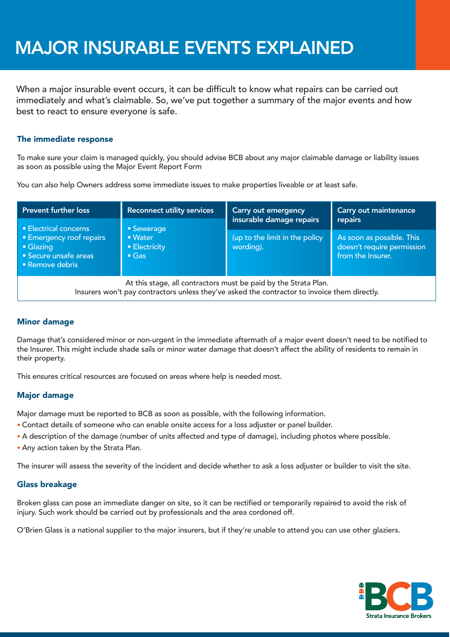# MAJOR INSURABLE EVENTS EXPLAINED

When a major insurable event occurs, it can be difficult to know what repairs can be carried out immediately and what's claimable. So, we've put together a summary of the major events and how best to react to ensure everyone is safe.

## The immediate response

To make sure your claim is managed quickly, ýou should advise BCB about any major claimable damage or liability issues as soon as possible using the Major Event Report Form

You can also help Owners address some immediate issues to make properties liveable or at least safe.

| <b>Prevent further loss</b><br>• Electrical concerns<br>• Emergency roof repairs<br>• Glazing<br>• Secure unsafe areas<br>• Remove debris                       | <b>Reconnect utility services</b><br>• Sewerage<br>• Water<br>• Electricity<br>$\bullet$ Gas | <b>Carry out emergency</b><br>insurable damage repairs | Carry out maintenance<br>repairs                                             |
|-----------------------------------------------------------------------------------------------------------------------------------------------------------------|----------------------------------------------------------------------------------------------|--------------------------------------------------------|------------------------------------------------------------------------------|
|                                                                                                                                                                 |                                                                                              | (up to the limit in the policy<br>wording).            | As soon as possible. This<br>doesn't require permission<br>from the Insurer. |
| At this stage, all contractors must be paid by the Strata Plan.<br>Insurers won't pay contractors unless they've asked the contractor to invoice them directly. |                                                                                              |                                                        |                                                                              |

# Minor damage

Damage that's considered minor or non-urgent in the immediate aftermath of a major event doesn't need to be notified to the Insurer. This might include shade sails or minor water damage that doesn't affect the ability of residents to remain in their property.

This ensures critical resources are focused on areas where help is needed most.

## Major damage

Major damage must be reported to BCB as soon as possible, with the following information.

- Contact details of someone who can enable onsite access for a loss adjuster or panel builder.
- A description of the damage (number of units affected and type of damage), including photos where possible.
- Any action taken by the Strata Plan.

The insurer will assess the severity of the incident and decide whether to ask a loss adjuster or builder to visit the site.

## Glass breakage

Broken glass can pose an immediate danger on site, so it can be rectified or temporarily repaired to avoid the risk of injury. Such work should be carried out by professionals and the area cordoned off.

O'Brien Glass is a national supplier to the major insurers, but if they're unable to attend you can use other glaziers.

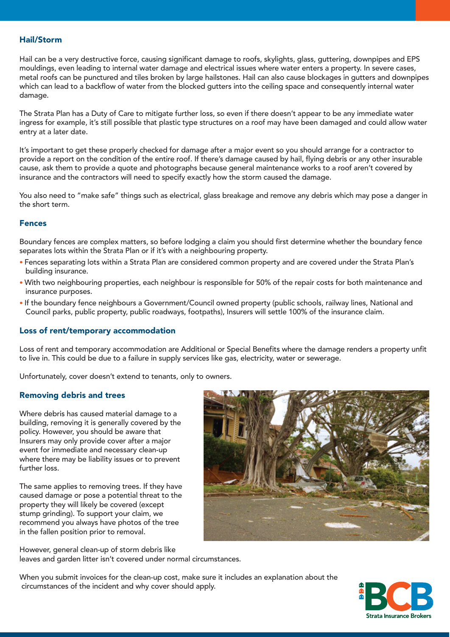#### Hail/Storm

Hail can be a very destructive force, causing significant damage to roofs, skylights, glass, guttering, downpipes and EPS mouldings, even leading to internal water damage and electrical issues where water enters a property. In severe cases, metal roofs can be punctured and tiles broken by large hailstones. Hail can also cause blockages in gutters and downpipes which can lead to a backflow of water from the blocked gutters into the ceiling space and consequently internal water damage.

The Strata Plan has a Duty of Care to mitigate further loss, so even if there doesn't appear to be any immediate water ingress for example, it's still possible that plastic type structures on a roof may have been damaged and could allow water entry at a later date.

It's important to get these properly checked for damage after a major event so you should arrange for a contractor to provide a report on the condition of the entire roof. If there's damage caused by hail, flying debris or any other insurable cause, ask them to provide a quote and photographs because general maintenance works to a roof aren't covered by insurance and the contractors will need to specify exactly how the storm caused the damage.

You also need to "make safe" things such as electrical, glass breakage and remove any debris which may pose a danger in the short term.

#### Fences

Boundary fences are complex matters, so before lodging a claim you should first determine whether the boundary fence separates lots within the Strata Plan or if it's with a neighbouring property.

- Fences separating lots within a Strata Plan are considered common property and are covered under the Strata Plan's building insurance.
- With two neighbouring properties, each neighbour is responsible for 50% of the repair costs for both maintenance and insurance purposes.
- If the boundary fence neighbours a Government/Council owned property (public schools, railway lines, National and Council parks, public property, public roadways, footpaths), Insurers will settle 100% of the insurance claim.

#### Loss of rent/temporary accommodation

Loss of rent and temporary accommodation are Additional or Special Benefits where the damage renders a property unfit to live in. This could be due to a failure in supply services like gas, electricity, water or sewerage.

Unfortunately, cover doesn't extend to tenants, only to owners.

#### Removing debris and trees

Where debris has caused material damage to a building, removing it is generally covered by the policy. However, you should be aware that Insurers may only provide cover after a major event for immediate and necessary clean-up where there may be liability issues or to prevent further loss.

The same applies to removing trees. If they have caused damage or pose a potential threat to the property they will likely be covered (except stump grinding). To support your claim, we recommend you always have photos of the tree in the fallen position prior to removal.



However, general clean-up of storm debris like leaves and garden litter isn't covered under normal circumstances.

When you submit invoices for the clean-up cost, make sure it includes an explanation about the circumstances of the incident and why cover should apply.